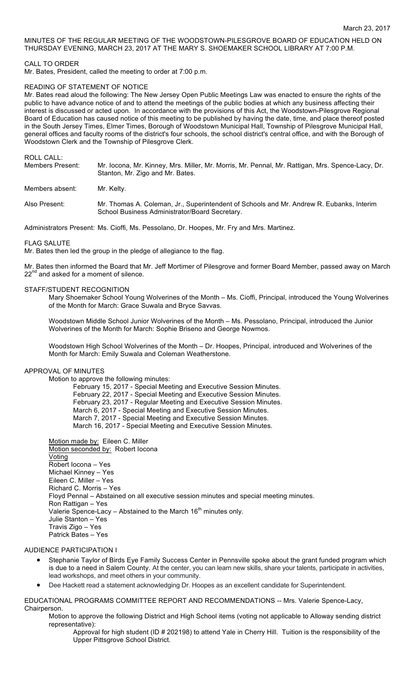## MINUTES OF THE REGULAR MEETING OF THE WOODSTOWN-PILESGROVE BOARD OF EDUCATION HELD ON THURSDAY EVENING, MARCH 23, 2017 AT THE MARY S. SHOEMAKER SCHOOL LIBRARY AT 7:00 P.M.

#### CALL TO ORDER

Mr. Bates, President, called the meeting to order at 7:00 p.m.

#### READING OF STATEMENT OF NOTICE

Mr. Bates read aloud the following: The New Jersey Open Public Meetings Law was enacted to ensure the rights of the public to have advance notice of and to attend the meetings of the public bodies at which any business affecting their interest is discussed or acted upon. In accordance with the provisions of this Act, the Woodstown-Pilesgrove Regional Board of Education has caused notice of this meeting to be published by having the date, time, and place thereof posted in the South Jersey Times, Elmer Times, Borough of Woodstown Municipal Hall, Township of Pilesgrove Municipal Hall, general offices and faculty rooms of the district's four schools, the school district's central office, and with the Borough of Woodstown Clerk and the Township of Pilesgrove Clerk.

ROLL CALL:

| <b>Members Present:</b> | Mr. locona, Mr. Kinney, Mrs. Miller, Mr. Morris, Mr. Pennal, Mr. Rattigan, Mrs. Spence-Lacy, Dr. |
|-------------------------|--------------------------------------------------------------------------------------------------|
|                         | Stanton, Mr. Zigo and Mr. Bates.                                                                 |

Members absent: Mr. Kelty.

Also Present: Mr. Thomas A. Coleman, Jr., Superintendent of Schools and Mr. Andrew R. Eubanks, Interim School Business Administrator/Board Secretary.

Administrators Present: Ms. Cioffi, Ms. Pessolano, Dr. Hoopes, Mr. Fry and Mrs. Martinez.

#### FLAG SALUTE

Mr. Bates then led the group in the pledge of allegiance to the flag.

Mr. Bates then informed the Board that Mr. Jeff Mortimer of Pilesgrove and former Board Member, passed away on March  $22^{nd}$  and asked for a moment of silence.

## STAFF/STUDENT RECOGNITION

Mary Shoemaker School Young Wolverines of the Month – Ms. Cioffi, Principal, introduced the Young Wolverines of the Month for March: Grace Suwala and Bryce Savvas.

Woodstown Middle School Junior Wolverines of the Month – Ms. Pessolano, Principal, introduced the Junior Wolverines of the Month for March: Sophie Briseno and George Nowmos.

Woodstown High School Wolverines of the Month – Dr. Hoopes, Principal, introduced and Wolverines of the Month for March: Emily Suwala and Coleman Weatherstone.

# APPROVAL OF MINUTES

Motion to approve the following minutes:

February 15, 2017 - Special Meeting and Executive Session Minutes. February 22, 2017 - Special Meeting and Executive Session Minutes. February 23, 2017 - Regular Meeting and Executive Session Minutes. March 6, 2017 - Special Meeting and Executive Session Minutes. March 7, 2017 - Special Meeting and Executive Session Minutes. March 16, 2017 - Special Meeting and Executive Session Minutes.

Motion made by: Eileen C. Miller Motion seconded by: Robert Iocona **Voting** Robert Iocona – Yes Michael Kinney – Yes Eileen C. Miller – Yes Richard C. Morris – Yes Floyd Pennal – Abstained on all executive session minutes and special meeting minutes. Ron Rattigan – Yes Valerie Spence-Lacy – Abstained to the March  $16<sup>th</sup>$  minutes only. Julie Stanton – Yes Travis Zigo – Yes Patrick Bates – Yes

#### AUDIENCE PARTICIPATION I

- Stephanie Taylor of Birds Eye Family Success Center in Pennsville spoke about the grant funded program which is due to a need in Salem County. At the center, you can learn new skills, share your talents, participate in activities, lead workshops, and meet others in your community.
- Dee Hackett read a statement acknowledging Dr. Hoopes as an excellent candidate for Superintendent.

EDUCATIONAL PROGRAMS COMMITTEE REPORT AND RECOMMENDATIONS -- Mrs. Valerie Spence-Lacy, Chairperson.

Motion to approve the following District and High School items (voting not applicable to Alloway sending district representative):

Approval for high student (ID # 202198) to attend Yale in Cherry Hill. Tuition is the responsibility of the Upper Pittsgrove School District.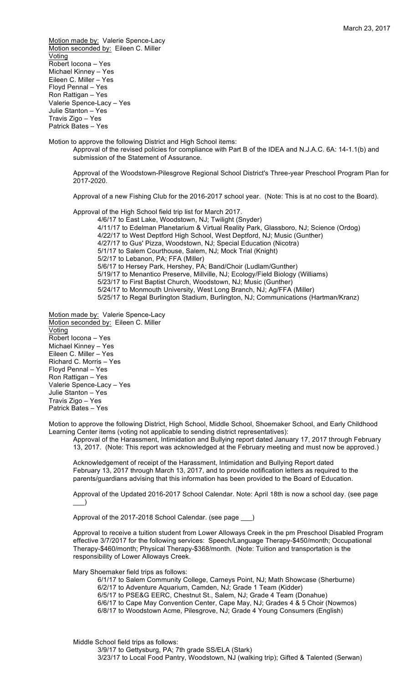Motion made by: Valerie Spence-Lacy Motion seconded by: Eileen C. Miller Voting Robert Iocona – Yes Michael Kinney – Yes Eileen C. Miller – Yes Floyd Pennal – Yes Ron Rattigan – Yes Valerie Spence-Lacy – Yes Julie Stanton – Yes Travis Zigo – Yes Patrick Bates – Yes

Motion to approve the following District and High School items:

Approval of the revised policies for compliance with Part B of the IDEA and N.J.A.C. 6A: 14-1.1(b) and submission of the Statement of Assurance.

Approval of the Woodstown-Pilesgrove Regional School District's Three-year Preschool Program Plan for 2017-2020.

Approval of a new Fishing Club for the 2016-2017 school year. (Note: This is at no cost to the Board).

Approval of the High School field trip list for March 2017.

4/6/17 to East Lake, Woodstown, NJ; Twilight (Snyder) 4/11/17 to Edelman Planetarium & Virtual Reality Park, Glassboro, NJ; Science (Ordog) 4/22/17 to West Deptford High School, West Deptford, NJ; Music (Gunther) 4/27/17 to Gus' Pizza, Woodstown, NJ; Special Education (Nicotra) 5/1/17 to Salem Courthouse, Salem, NJ; Mock Trial (Knight) 5/2/17 to Lebanon, PA; FFA (Miller) 5/6/17 to Hersey Park, Hershey, PA; Band/Choir (Ludlam/Gunther) 5/19/17 to Menantico Preserve, Millville, NJ; Ecology/Field Biology (Williams) 5/23/17 to First Baptist Church, Woodstown, NJ; Music (Gunther) 5/24/17 to Monmouth University, West Long Branch, NJ; Ag/FFA (Miller) 5/25/17 to Regal Burlington Stadium, Burlington, NJ; Communications (Hartman/Kranz)

Motion made by: Valerie Spence-Lacy Motion seconded by: Eileen C. Miller **Voting** Robert Iocona – Yes Michael Kinney – Yes Eileen C. Miller – Yes Richard C. Morris – Yes Floyd Pennal – Yes Ron Rattigan – Yes Valerie Spence-Lacy – Yes Julie Stanton – Yes Travis Zigo – Yes Patrick Bates – Yes

Motion to approve the following District, High School, Middle School, Shoemaker School, and Early Childhood Learning Center items (voting not applicable to sending district representatives):

Approval of the Harassment, Intimidation and Bullying report dated January 17, 2017 through February 13, 2017. (Note: This report was acknowledged at the February meeting and must now be approved.)

Acknowledgement of receipt of the Harassment, Intimidation and Bullying Report dated February 13, 2017 through March 13, 2017, and to provide notification letters as required to the parents/guardians advising that this information has been provided to the Board of Education.

Approval of the Updated 2016-2017 School Calendar. Note: April 18th is now a school day. (see page  $\rightarrow$ 

Approval of the 2017-2018 School Calendar. (see page \_

Approval to receive a tuition student from Lower Alloways Creek in the pm Preschool Disabled Program effective 3/7/2017 for the following services: Speech/Language Therapy-\$450/month; Occupational Therapy-\$460/month; Physical Therapy-\$368/month. (Note: Tuition and transportation is the responsibility of Lower Alloways Creek.

Mary Shoemaker field trips as follows:

6/1/17 to Salem Community College, Carneys Point, NJ; Math Showcase (Sherburne) 6/2/17 to Adventure Aquarium, Camden, NJ; Grade 1 Team (Kidder) 6/5/17 to PSE&G EERC, Chestnut St., Salem, NJ; Grade 4 Team (Donahue) 6/6/17 to Cape May Convention Center, Cape May, NJ; Grades 4 & 5 Choir (Nowmos) 6/8/17 to Woodstown Acme, Pilesgrove, NJ; Grade 4 Young Consumers (English)

Middle School field trips as follows: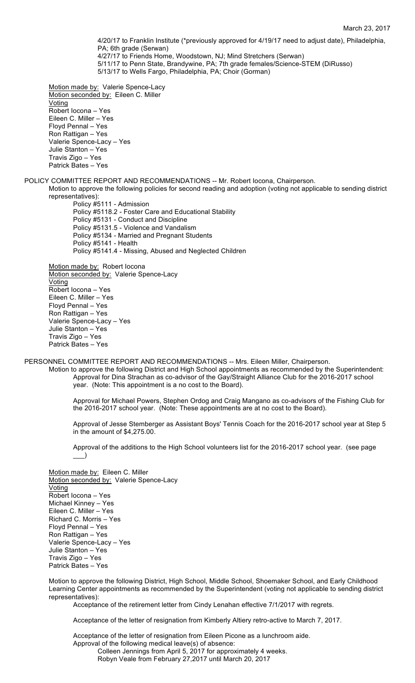4/20/17 to Franklin Institute (\*previously approved for 4/19/17 need to adjust date), Philadelphia, PA; 6th grade (Serwan) 4/27/17 to Friends Home, Woodstown, NJ; Mind Stretchers (Serwan) 5/11/17 to Penn State, Brandywine, PA; 7th grade females/Science-STEM (DiRusso)

Motion made by: Valerie Spence-Lacy Motion seconded by: Eileen C. Miller Voting Robert Iocona – Yes Eileen C. Miller – Yes Floyd Pennal – Yes Ron Rattigan – Yes Valerie Spence-Lacy – Yes Julie Stanton – Yes Travis Zigo – Yes Patrick Bates – Yes

#### POLICY COMMITTEE REPORT AND RECOMMENDATIONS -- Mr. Robert Iocona, Chairperson.

5/13/17 to Wells Fargo, Philadelphia, PA; Choir (Gorman)

Motion to approve the following policies for second reading and adoption (voting not applicable to sending district representatives):

Policy #5111 - Admission Policy #5118.2 - Foster Care and Educational Stability Policy #5131 - Conduct and Discipline Policy #5131.5 - Violence and Vandalism Policy #5134 - Married and Pregnant Students Policy #5141 - Health Policy #5141.4 - Missing, Abused and Neglected Children

Motion made by: Robert locona Motion seconded by: Valerie Spence-Lacy Voting Robert Iocona – Yes Eileen C. Miller – Yes Floyd Pennal – Yes Ron Rattigan – Yes Valerie Spence-Lacy – Yes Julie Stanton – Yes Travis Zigo – Yes Patrick Bates – Yes

PERSONNEL COMMITTEE REPORT AND RECOMMENDATIONS -- Mrs. Eileen Miller, Chairperson. Motion to approve the following District and High School appointments as recommended by the Superintendent:

Approval for Dina Strachan as co-advisor of the Gay/Straight Alliance Club for the 2016-2017 school year. (Note: This appointment is a no cost to the Board).

Approval for Michael Powers, Stephen Ordog and Craig Mangano as co-advisors of the Fishing Club for the 2016-2017 school year. (Note: These appointments are at no cost to the Board).

Approval of Jesse Stemberger as Assistant Boys' Tennis Coach for the 2016-2017 school year at Step 5 in the amount of \$4,275.00.

Approval of the additions to the High School volunteers list for the 2016-2017 school year. (see page  $\rightarrow$ 

Motion made by: Eileen C. Miller Motion seconded by: Valerie Spence-Lacy Voting Robert Iocona – Yes Michael Kinney – Yes Eileen C. Miller – Yes Richard C. Morris – Yes Floyd Pennal – Yes Ron Rattigan – Yes Valerie Spence-Lacy – Yes Julie Stanton – Yes Travis Zigo – Yes Patrick Bates – Yes

Motion to approve the following District, High School, Middle School, Shoemaker School, and Early Childhood Learning Center appointments as recommended by the Superintendent (voting not applicable to sending district representatives):

Acceptance of the retirement letter from Cindy Lenahan effective 7/1/2017 with regrets.

Acceptance of the letter of resignation from Kimberly Altiery retro-active to March 7, 2017.

Acceptance of the letter of resignation from Eileen Picone as a lunchroom aide. Approval of the following medical leave(s) of absence: Colleen Jennings from April 5, 2017 for approximately 4 weeks. Robyn Veale from February 27,2017 until March 20, 2017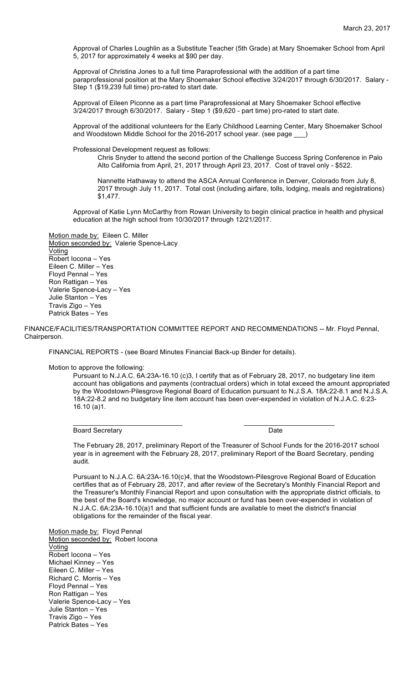Approval of Charles Loughlin as a Substitute Teacher (5th Grade) at Mary Shoemaker School from April 5, 2017 for approximately 4 weeks at \$90 per day.

Approval of Christina Jones to a full time Paraprofessional with the addition of a part time paraprofessional position at the Mary Shoemaker School effective 3/24/2017 through 6/30/2017. Salary - Step 1 (\$19,239 full time) pro-rated to start date.

Approval of Eileen Piconne as a part time Paraprofessional at Mary Shoemaker School effective 3/24/2017 through 6/30/2017. Salary - Step 1 (\$9,620 - part time) pro-rated to start date.

Approval of the additional volunteers for the Early Childhood Learning Center, Mary Shoemaker School and Woodstown Middle School for the 2016-2017 school year. (see page \_

Professional Development request as follows:

Chris Snyder to attend the second portion of the Challenge Success Spring Conference in Palo Alto California from April, 21, 2017 through April 23, 2017. Cost of travel only - \$522.

Nannette Hathaway to attend the ASCA Annual Conference in Denver, Colorado from July 8, 2017 through July 11, 2017. Total cost (including airfare, tolls, lodging, meals and registrations) \$1,477.

Approval of Katie Lynn McCarthy from Rowan University to begin clinical practice in health and physical education at the high school from 10/30/2017 through 12/21/2017.

Motion made by: Eileen C. Miller Motion seconded by: Valerie Spence-Lacy Voting Robert Iocona – Yes Eileen C. Miller – Yes Floyd Pennal – Yes Ron Rattigan – Yes Valerie Spence-Lacy – Yes Julie Stanton – Yes Travis Zigo – Yes Patrick Bates – Yes

FINANCE/FACILITIES/TRANSPORTATION COMMITTEE REPORT AND RECOMMENDATIONS -- Mr. Floyd Pennal, Chairperson.

FINANCIAL REPORTS - (see Board Minutes Financial Back-up Binder for details).

Motion to approve the following:

Pursuant to N.J.A.C. 6A:23A-16.10 (c)3, I certify that as of February 28, 2017, no budgetary line item account has obligations and payments (contractual orders) which in total exceed the amount appropriated by the Woodstown-Pilesgrove Regional Board of Education pursuant to N.J.S.A. 18A:22-8.1 and N.J.S.A. 18A:22-8.2 and no budgetary line item account has been over-expended in violation of N.J.A.C. 6:23- 16.10 (a)1.

## Board Secretary Date

 $\mathcal{L}_\text{max}$  , and the set of the set of the set of the set of the set of the set of the set of the set of the set of the set of the set of the set of the set of the set of the set of the set of the set of the set of the

The February 28, 2017, preliminary Report of the Treasurer of School Funds for the 2016-2017 school year is in agreement with the February 28, 2017, preliminary Report of the Board Secretary, pending audit.

Pursuant to N.J.A.C. 6A:23A-16.10(c)4, that the Woodstown-Pilesgrove Regional Board of Education certifies that as of February 28, 2017, and after review of the Secretary's Monthly Financial Report and the Treasurer's Monthly Financial Report and upon consultation with the appropriate district officials, to the best of the Board's knowledge, no major account or fund has been over-expended in violation of N.J.A.C. 6A:23A-16.10(a)1 and that sufficient funds are available to meet the district's financial obligations for the remainder of the fiscal year.

Motion made by: Floyd Pennal Motion seconded by: Robert locona Voting Robert Iocona – Yes Michael Kinney – Yes Eileen C. Miller – Yes Richard C. Morris – Yes Floyd Pennal – Yes Ron Rattigan – Yes Valerie Spence-Lacy – Yes Julie Stanton – Yes Travis Zigo – Yes Patrick Bates – Yes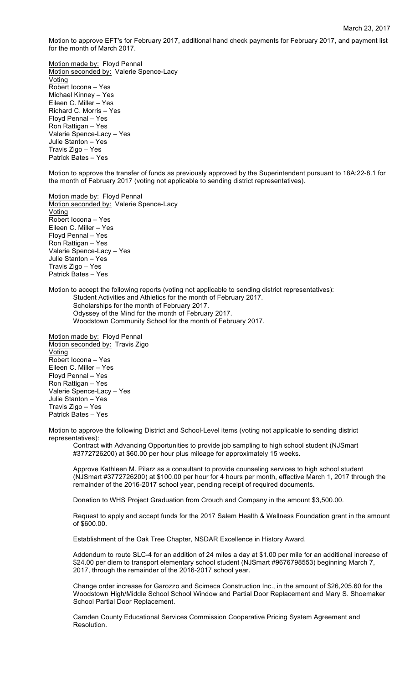Motion to approve EFT's for February 2017, additional hand check payments for February 2017, and payment list for the month of March 2017.

Motion made by: Floyd Pennal Motion seconded by: Valerie Spence-Lacy Voting Robert Iocona – Yes Michael Kinney – Yes Eileen C. Miller – Yes Richard C. Morris – Yes Floyd Pennal – Yes Ron Rattigan – Yes Valerie Spence-Lacy – Yes Julie Stanton – Yes Travis Zigo – Yes Patrick Bates – Yes

Motion to approve the transfer of funds as previously approved by the Superintendent pursuant to 18A:22-8.1 for the month of February 2017 (voting not applicable to sending district representatives).

Motion made by: Floyd Pennal Motion seconded by: Valerie Spence-Lacy **Voting** Robert Iocona – Yes Eileen C. Miller – Yes Floyd Pennal – Yes Ron Rattigan – Yes Valerie Spence-Lacy – Yes Julie Stanton – Yes Travis Zigo – Yes Patrick Bates – Yes

Motion to accept the following reports (voting not applicable to sending district representatives): Student Activities and Athletics for the month of February 2017. Scholarships for the month of February 2017. Odyssey of the Mind for the month of February 2017. Woodstown Community School for the month of February 2017.

Motion made by: Floyd Pennal Motion seconded by: Travis Zigo Voting Robert Iocona – Yes Eileen C. Miller – Yes Floyd Pennal – Yes Ron Rattigan – Yes Valerie Spence-Lacy – Yes Julie Stanton – Yes Travis Zigo – Yes Patrick Bates – Yes

Motion to approve the following District and School-Level items (voting not applicable to sending district representatives):

Contract with Advancing Opportunities to provide job sampling to high school student (NJSmart #3772726200) at \$60.00 per hour plus mileage for approximately 15 weeks.

Approve Kathleen M. Pilarz as a consultant to provide counseling services to high school student (NJSmart #3772726200) at \$100.00 per hour for 4 hours per month, effective March 1, 2017 through the remainder of the 2016-2017 school year, pending receipt of required documents.

Donation to WHS Project Graduation from Crouch and Company in the amount \$3,500.00.

Request to apply and accept funds for the 2017 Salem Health & Wellness Foundation grant in the amount of \$600.00.

Establishment of the Oak Tree Chapter, NSDAR Excellence in History Award.

Addendum to route SLC-4 for an addition of 24 miles a day at \$1.00 per mile for an additional increase of \$24.00 per diem to transport elementary school student (NJSmart #9676798553) beginning March 7, 2017, through the remainder of the 2016-2017 school year.

Change order increase for Garozzo and Scimeca Construction Inc., in the amount of \$26,205.60 for the Woodstown High/Middle School School Window and Partial Door Replacement and Mary S. Shoemaker School Partial Door Replacement.

Camden County Educational Services Commission Cooperative Pricing System Agreement and Resolution.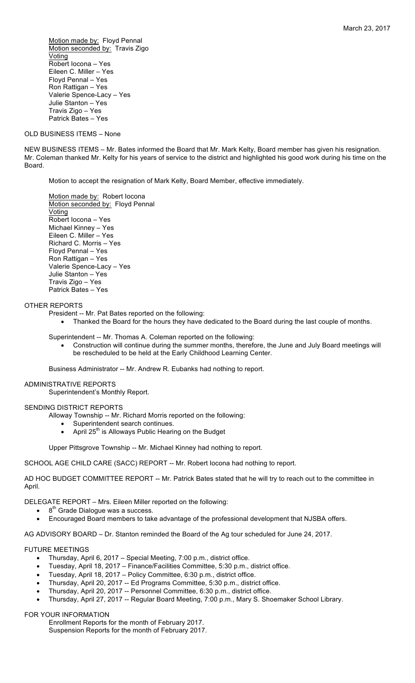Motion made by: Floyd Pennal Motion seconded by: Travis Zigo Voting Robert Iocona – Yes Eileen C. Miller – Yes Floyd Pennal – Yes Ron Rattigan – Yes Valerie Spence-Lacy – Yes Julie Stanton – Yes Travis Zigo – Yes Patrick Bates – Yes

### OLD BUSINESS ITEMS – None

NEW BUSINESS ITEMS – Mr. Bates informed the Board that Mr. Mark Kelty, Board member has given his resignation. Mr. Coleman thanked Mr. Kelty for his years of service to the district and highlighted his good work during his time on the Board.

Motion to accept the resignation of Mark Kelty, Board Member, effective immediately.

Motion made by: Robert locona Motion seconded by: Floyd Pennal Voting Robert Iocona – Yes Michael Kinney – Yes Eileen C. Miller – Yes Richard C. Morris – Yes Floyd Pennal – Yes Ron Rattigan – Yes Valerie Spence-Lacy – Yes Julie Stanton – Yes Travis Zigo – Yes Patrick Bates – Yes

#### OTHER REPORTS

- President -- Mr. Pat Bates reported on the following:
	- Thanked the Board for the hours they have dedicated to the Board during the last couple of months.

Superintendent -- Mr. Thomas A. Coleman reported on the following:

• Construction will continue during the summer months, therefore, the June and July Board meetings will be rescheduled to be held at the Early Childhood Learning Center.

Business Administrator -- Mr. Andrew R. Eubanks had nothing to report.

### ADMINISTRATIVE REPORTS

Superintendent's Monthly Report.

## SENDING DISTRICT REPORTS

Alloway Township -- Mr. Richard Morris reported on the following:

- Superintendent search continues.
- April 25<sup>th</sup> is Alloways Public Hearing on the Budget

Upper Pittsgrove Township -- Mr. Michael Kinney had nothing to report.

## SCHOOL AGE CHILD CARE (SACC) REPORT -- Mr. Robert locona had nothing to report.

AD HOC BUDGET COMMITTEE REPORT -- Mr. Patrick Bates stated that he will try to reach out to the committee in April.

DELEGATE REPORT – Mrs. Eileen Miller reported on the following:

- $8<sup>th</sup>$  Grade Dialogue was a success.
- Encouraged Board members to take advantage of the professional development that NJSBA offers.

AG ADVISORY BOARD – Dr. Stanton reminded the Board of the Ag tour scheduled for June 24, 2017.

## FUTURE MEETINGS

- Thursday, April 6, 2017 Special Meeting, 7:00 p.m., district office.
- Tuesday, April 18, 2017 Finance/Facilities Committee, 5:30 p.m., district office.
- Tuesday, April 18, 2017 Policy Committee, 6:30 p.m., district office.
- Thursday, April 20, 2017 -- Ed Programs Committee, 5:30 p.m., district office.
- Thursday, April 20, 2017 -- Personnel Committee, 6:30 p.m., district office.
- Thursday, April 27, 2017 -- Regular Board Meeting, 7:00 p.m., Mary S. Shoemaker School Library.

## FOR YOUR INFORMATION

Enrollment Reports for the month of February 2017. Suspension Reports for the month of February 2017.